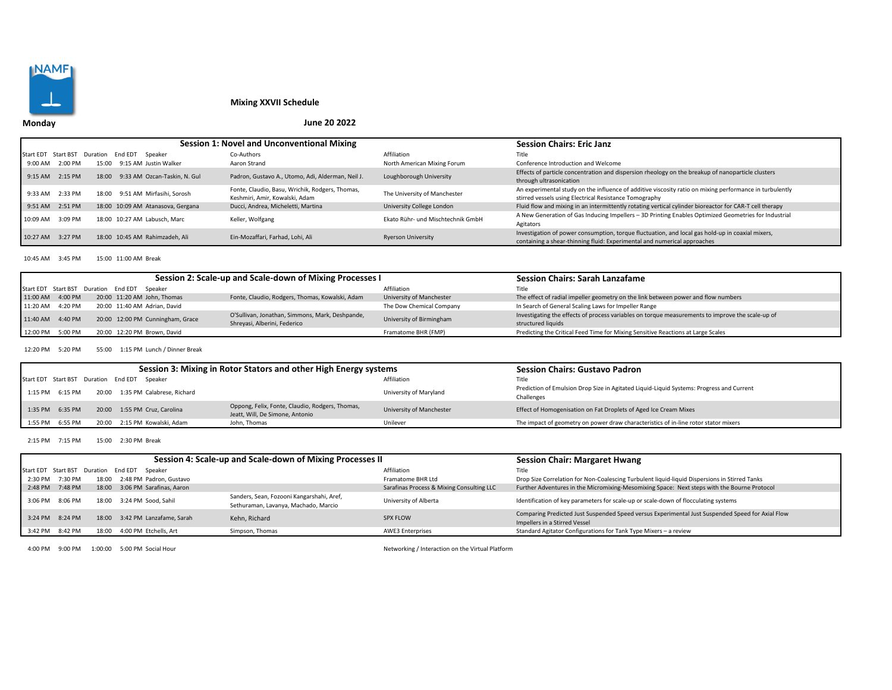

# **Mixing XXVII Schedule**

## **June 20 2022**

|                     |         |          |         |                                   | Session 1: Novel and Unconventional Mixing                                        | <b>Session Chairs: Eric Janz</b>  |                                                                                                                                                                              |
|---------------------|---------|----------|---------|-----------------------------------|-----------------------------------------------------------------------------------|-----------------------------------|------------------------------------------------------------------------------------------------------------------------------------------------------------------------------|
| Start EDT Start BST |         | Duration | End EDT | Speaker                           | Co-Authors                                                                        | Affiliation                       | Title                                                                                                                                                                        |
| 9:00 AM             | 2:00 PM | 15:00    |         | 9:15 AM Justin Walker             | Aaron Strand                                                                      | North American Mixing Forum       | Conference Introduction and Welcome                                                                                                                                          |
| $9:15$ AM           | 2:15 PM | 18:00    |         | 9:33 AM Ozcan-Taskin, N. Gul      | Padron, Gustavo A., Utomo, Adi, Alderman, Neil J.                                 | Loughborough University           | Effects of particle concentration and dispersion rheology on the breakup of nanoparticle clusters<br>through ultrasonication                                                 |
| 9:33 AM             | 2:33 PM | 18:00    |         | 9:51 AM Mirfasihi. Sorosh         | Fonte, Claudio, Basu, Wrichik, Rodgers, Thomas,<br>Keshmiri, Amir, Kowalski, Adam | The University of Manchester      | An experimental study on the influence of additive viscosity ratio on mixing performance in turbulently<br>stirred vessels using Electrical Resistance Tomography            |
| $9:51$ AM           | 2:51 PM |          |         | 18:00 10:09 AM Atanasova, Gergana | Ducci, Andrea, Micheletti, Martina                                                | University College London         | Fluid flow and mixing in an intermittently rotating vertical cylinder bioreactor for CAR-T cell therapy                                                                      |
| 10:09 AM            | 3:09 PM |          |         | 18:00 10:27 AM Labusch, Marc      | Keller, Wolfgang                                                                  | Ekato Rühr- und Mischtechnik GmbH | A New Generation of Gas Inducing Impellers - 3D Printing Enables Optimized Geometries for Industrial<br>Agitators                                                            |
| 10:27 AM            | 3:27 PM |          |         | 18:00 10:45 AM Rahimzadeh, Ali    | Ein-Mozaffari, Farhad, Lohi, Ali                                                  | <b>Ryerson University</b>         | Investigation of power consumption, torque fluctuation, and local gas hold-up in coaxial mixers,<br>containing a shear-thinning fluid: Experimental and numerical approaches |

10:45 AM 3:45 PM 15:00 11:00 AM Break

|                                              |  |                                  | Session 2: Scale-up and Scale-down of Mixing Processes I                        | <b>Session Chairs: Sarah Lanzafame</b> |                                                                                                                        |
|----------------------------------------------|--|----------------------------------|---------------------------------------------------------------------------------|----------------------------------------|------------------------------------------------------------------------------------------------------------------------|
| Start EDT Start BST Duration End EDT Speaker |  |                                  |                                                                                 | Affiliation                            | Title                                                                                                                  |
| 11:00 AM 4:00 PM                             |  | 20:00 11:20 AM John, Thomas      | Fonte, Claudio, Rodgers, Thomas, Kowalski, Adam                                 | University of Manchester               | The effect of radial impeller geometry on the link between power and flow numbers                                      |
| 11:20 AM 4:20 PM                             |  | 20:00 11:40 AM Adrian, David     |                                                                                 | The Dow Chemical Company               | In Search of General Scaling Laws for Impeller Range                                                                   |
| 11:40 AM 4:40 PM                             |  | 20:00 12:00 PM Cunningham, Grace | O'Sullivan, Jonathan, Simmons, Mark, Deshpande,<br>Shreyasi, Alberini, Federico | University of Birmingham               | Investigating the effects of process variables on torque measurements to improve the scale-up of<br>structured liquids |
| 12:00 PM 5:00 PM                             |  | 20:00 12:20 PM Brown, David      |                                                                                 | Framatome BHR (FMP)                    | Predicting the Critical Feed Time for Mixing Sensitive Reactions at Large Scales                                       |

12:20 PM 5:20 PM 55:00 1:15 PM Lunch / Dinner Break

|                 |                                              | Session 3: Mixing in Rotor Stators and other High Energy systems                   | <b>Session Chairs: Gustavo Padron</b> |                                                                                                        |
|-----------------|----------------------------------------------|------------------------------------------------------------------------------------|---------------------------------------|--------------------------------------------------------------------------------------------------------|
|                 | Start EDT Start BST Duration End EDT Speaker |                                                                                    | Affiliation                           | Title                                                                                                  |
| 1:15 PM 6:15 PM | 20:00 1:35 PM Calabrese, Richard             |                                                                                    | University of Maryland                | Prediction of Emulsion Drop Size in Agitated Liquid-Liquid Systems: Progress and Current<br>Challenges |
| 1:35 PM 6:35 PM | 20:00 1:55 PM Cruz, Carolina                 | Oppong, Felix, Fonte, Claudio, Rodgers, Thomas,<br>Jeatt, Will, De Simone, Antonio | University of Manchester              | Effect of Homogenisation on Fat Droplets of Aged Ice Cream Mixes                                       |
| 1:55 PM 6:55 PM | 20:00 2:15 PM Kowalski, Adam                 | John. Thomas                                                                       | Unilever                              | The impact of geometry on power draw characteristics of in-line rotor stator mixers                    |

2:15 PM 7:15 PM 15:00 2:30 PM Break

|                 |                                              |                                | Session 4: Scale-up and Scale-down of Mixing Processes II                         | <b>Session Chair: Margaret Hwang</b>      |                                                                                                                                   |
|-----------------|----------------------------------------------|--------------------------------|-----------------------------------------------------------------------------------|-------------------------------------------|-----------------------------------------------------------------------------------------------------------------------------------|
|                 | Start EDT Start BST Duration End EDT Speaker |                                |                                                                                   | Affiliation                               | Title                                                                                                                             |
| 2:30 PM 7:30 PM |                                              | 18:00 2:48 PM Padron, Gustavo  |                                                                                   | Framatome BHR Ltd                         | Drop Size Correlation for Non-Coalescing Turbulent liquid-liquid Dispersions in Stirred Tanks                                     |
| 2:48 PM 7:48 PM |                                              | 18:00 3:06 PM Sarafinas, Aaron |                                                                                   | Sarafinas Process & Mixing Consulting LLC | Further Adventures in the Micromixing-Mesomixing Space: Next steps with the Bourne Protocol                                       |
| 3:06 PM 8:06 PM | 18:00                                        | 3:24 PM Sood, Sahil            | Sanders, Sean, Fozooni Kangarshahi, Aref,<br>Sethuraman, Lavanya, Machado, Marcio | University of Alberta                     | Identification of key parameters for scale-up or scale-down of flocculating systems                                               |
| 3:24 PM 8:24 PM | 18:00                                        | 3:42 PM Lanzafame. Sarah       | Kehn, Richard                                                                     | <b>SPX FLOW</b>                           | Comparing Predicted Just Suspended Speed versus Experimental Just Suspended Speed for Axial Flow<br>Impellers in a Stirred Vessel |
| 3:42 PM 8:42 PM | 18:00                                        | 4:00 PM Etchells. Art          | Simpson, Thomas                                                                   | <b>AWE3 Enterprises</b>                   | Standard Agitator Configurations for Tank Type Mixers - a review                                                                  |

4:00 PM 9:00 PM 1:00:00 5:00 PM Social Hour Networking / Interaction on the Virtual Platform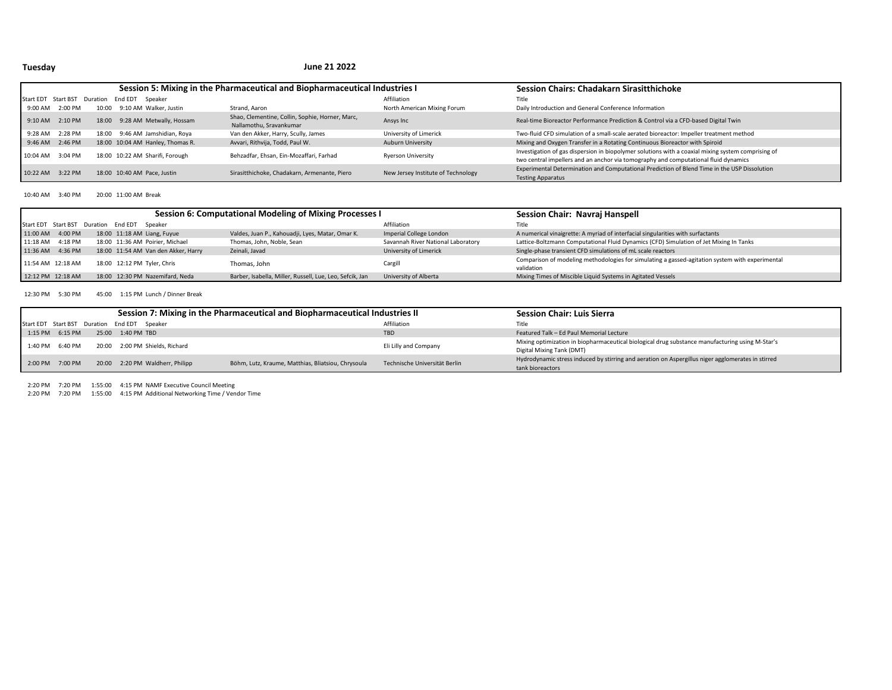## **Tuesday**

#### **June 21 2022**

|                     |                  |          |         |                                  | Session 5: Mixing in the Pharmaceutical and Biopharmaceutical Industries I | <b>Session Chairs: Chadakarn Sirasitthichoke</b> |                                                                                                                                                                                           |
|---------------------|------------------|----------|---------|----------------------------------|----------------------------------------------------------------------------|--------------------------------------------------|-------------------------------------------------------------------------------------------------------------------------------------------------------------------------------------------|
| Start EDT Start BST |                  | Duration | End EDT | Speaker                          |                                                                            | Affiliation                                      | Title                                                                                                                                                                                     |
| 9:00 AM             | 2:00 PM          | 10:00    |         | 9:10 AM Walker. Justin           | Strand, Aaron                                                              | North American Mixing Forum                      | Daily Introduction and General Conference Information                                                                                                                                     |
| $9:10$ AM           | 2:10 PM          |          |         | 18:00 9:28 AM Metwally, Hossam   | Shao, Clementine, Collin, Sophie, Horner, Marc,<br>Nallamothu. Sravankumar | Ansys Inc                                        | Real-time Bioreactor Performance Prediction & Control via a CFD-based Digital Twin                                                                                                        |
| 9:28 AM             | 2:28 PM          | 18:00    |         | 9:46 AM Jamshidian, Roya         | Van den Akker, Harry, Scully, James                                        | University of Limerick                           | Two-fluid CFD simulation of a small-scale aerated bioreactor: Impeller treatment method                                                                                                   |
|                     | 9:46 AM 2:46 PM  |          |         | 18:00 10:04 AM Hanley, Thomas R. | Avvari, Rithvija, Todd, Paul W.                                            | Auburn University                                | Mixing and Oxygen Transfer in a Rotating Continuous Bioreactor with Spiroid                                                                                                               |
|                     | 10:04 AM 3:04 PM |          |         | 18:00 10:22 AM Sharifi, Forough  | Behzadfar, Ehsan, Ein-Mozaffari, Farhad                                    | <b>Ryerson University</b>                        | Investigation of gas dispersion in biopolymer solutions with a coaxial mixing system comprising of<br>two central impellers and an anchor via tomography and computational fluid dynamics |
| 10:22 AM 3:22 PM    |                  |          |         | 18:00 10:40 AM Pace, Justin      | Sirasitthichoke, Chadakarn, Armenante, Piero                               | New Jersey Institute of Technology               | Experimental Determination and Computational Prediction of Blend Time in the USP Dissolution<br><b>Testing Apparatus</b>                                                                  |

10:40 AM 3:40 PM 20:00 11:00 AM Break

|                   |                  |                                              |                                     | Session 6: Computational Modeling of Mixing Processes I  | Session Chair: Navraj Hanspell     |                                                                                                               |
|-------------------|------------------|----------------------------------------------|-------------------------------------|----------------------------------------------------------|------------------------------------|---------------------------------------------------------------------------------------------------------------|
|                   |                  | Start EDT Start BST Duration End EDT Speaker |                                     |                                                          | Affiliation                        | Title                                                                                                         |
| 11:00 AM 4:00 PM  |                  |                                              | 18:00 11:18 AM Liang, Fuyue         | Valdes, Juan P., Kahouadji, Lyes, Matar, Omar K.         | Imperial College London            | A numerical vinaigrette: A myriad of interfacial singularities with surfactants                               |
|                   | 11:18 AM 4:18 PM |                                              | 18:00 11:36 AM Poirier, Michael     | Thomas, John, Noble, Sean                                | Savannah River National Laboratory | Lattice-Boltzmann Computational Fluid Dynamics (CFD) Simulation of Jet Mixing In Tanks                        |
| 11:36 AM 4:36 PM  |                  |                                              | 18:00 11:54 AM Van den Akker, Harry | Zeinali, Javad                                           | University of Limerick             | Single-phase transient CFD simulations of mL scale reactors                                                   |
| 11:54 AM 12:18 AM |                  |                                              | 18:00 12:12 PM Tyler, Chris         | Thomas, John                                             | Cargill                            | Comparison of modeling methodologies for simulating a gassed-agitation system with experimental<br>validation |
| 12:12 PM 12:18 AM |                  |                                              | 18:00 12:30 PM Nazemifard, Neda     | Barber, Isabella, Miller, Russell, Lue, Leo, Sefcik, Jan | University of Alberta              | Mixing Times of Miscible Liquid Systems in Agitated Vessels                                                   |

12:30 PM 5:30 PM 45:00 1:15 PM Lunch / Dinner Break

|                 |  |                                              | Session 7: Mixing in the Pharmaceutical and Biopharmaceutical Industries II | <b>Session Chair: Luis Sierra</b> |                                                                                                   |
|-----------------|--|----------------------------------------------|-----------------------------------------------------------------------------|-----------------------------------|---------------------------------------------------------------------------------------------------|
|                 |  | Start EDT Start BST Duration End EDT Speaker |                                                                             | Affiliation                       | Title                                                                                             |
| 1:15 PM 6:15 PM |  | 25:00 1:40 PM TBD                            |                                                                             | <b>TBD</b>                        | Featured Talk - Ed Paul Memorial Lecture                                                          |
| 1:40 PM 6:40 PM |  | 20:00 2:00 PM Shields, Richard               |                                                                             | Eli Lilly and Company             | Mixing optimization in biopharmaceutical biological drug substance manufacturing using M-Star's   |
|                 |  |                                              |                                                                             |                                   | Digital Mixing Tank (DMT)                                                                         |
| 2:00 PM 7:00 PM |  | 20:00 2:20 PM Waldherr, Philipp              | Böhm, Lutz, Kraume, Matthias, Bliatsiou, Chrysoula                          | Technische Universität Berlin     | Hydrodynamic stress induced by stirring and aeration on Aspergillus niger agglomerates in stirred |
|                 |  |                                              |                                                                             |                                   | tank bioreactors                                                                                  |

2:20 PM 7:20 PM 1:55:00 4:15 PM NAMF Executive Council Meeting

2:20 PM 7:20 PM 1:55:00 4:15 PM Additional Networking Time / Vendor Time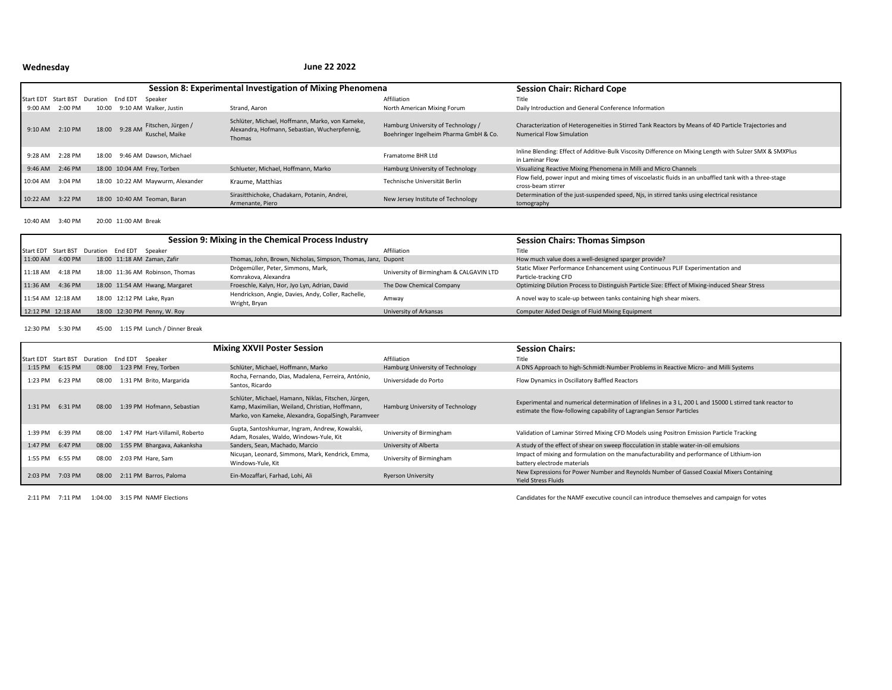# **Wednesday**

### **June 22 2022**

|                     |                  |          |         |                                                    | Session 8: Experimental Investigation of Mixing Phenomena                                                  | <b>Session Chair: Richard Cope</b>                                           |                                                                                                                                           |
|---------------------|------------------|----------|---------|----------------------------------------------------|------------------------------------------------------------------------------------------------------------|------------------------------------------------------------------------------|-------------------------------------------------------------------------------------------------------------------------------------------|
| Start EDT Start BST |                  | Duration | End EDT | Speaker                                            |                                                                                                            | Affiliation                                                                  | Title                                                                                                                                     |
| 9:00 AM             | 2:00 PM          | 10:00    |         | 9:10 AM Walker, Justin                             | Strand, Aaron                                                                                              | North American Mixing Forum                                                  | Daily Introduction and General Conference Information                                                                                     |
| $9:10$ AM           | 2:10 PM          |          |         | 18:00 9:28 AM Fitschen, Jürgen /<br>Kuschel, Maike | Schlüter, Michael, Hoffmann, Marko, von Kameke,<br>Alexandra, Hofmann, Sebastian, Wucherpfennig,<br>Thomas | Hamburg University of Technology /<br>Boehringer Ingelheim Pharma GmbH & Co. | Characterization of Heterogeneities in Stirred Tank Reactors by Means of 4D Particle Trajectories and<br><b>Numerical Flow Simulation</b> |
| 9:28 AM             | 2:28 PM          | 18:00    |         | 9:46 AM Dawson, Michael                            |                                                                                                            | Framatome BHR Ltd                                                            | Inline Blending: Effect of Additive-Bulk Viscosity Difference on Mixing Length with Sulzer SMX & SMXPlus<br>in Laminar Flow               |
|                     | 9:46 AM 2:46 PM  |          |         | 18:00 10:04 AM Frey, Torben                        | Schlueter, Michael, Hoffmann, Marko                                                                        | Hamburg University of Technology                                             | Visualizing Reactive Mixing Phenomena in Milli and Micro Channels                                                                         |
| 10:04 AM            | 3:04 PM          |          |         | 18:00 10:22 AM Maywurm, Alexander                  | Kraume. Matthias                                                                                           | Technische Universität Berlin                                                | Flow field, power input and mixing times of viscoelastic fluids in an unbaffled tank with a three-stage<br>cross-beam stirrer             |
|                     | 10:22 AM 3:22 PM |          |         | 18:00 10:40 AM Teoman, Baran                       | Sirasitthichoke, Chadakarn, Potanin, Andrei,<br>Armenante, Piero                                           | New Jersey Institute of Technology                                           | Determination of the just-suspended speed, Njs, in stirred tanks using electrical resistance<br>tomography                                |

10:40 AM 3:40 PM 20:00 11:00 AM Break

|          |                                              |  |                                 | Session 9: Mixing in the Chemical Process Industry                   | <b>Session Chairs: Thomas Simpson</b>   |                                                                                                 |
|----------|----------------------------------------------|--|---------------------------------|----------------------------------------------------------------------|-----------------------------------------|-------------------------------------------------------------------------------------------------|
|          | Start EDT Start BST Duration End EDT Speaker |  |                                 |                                                                      | Affiliation                             | Title                                                                                           |
|          | 11:00 AM 4:00 PM                             |  | 18:00 11:18 AM Zaman, Zafir     | Thomas, John, Brown, Nicholas, Simpson, Thomas, Janz, Dupont         |                                         | How much value does a well-designed sparger provide?                                            |
| 11:18 AM | 4:18 PM                                      |  | 18:00 11:36 AM Robinson, Thomas | Drögemüller, Peter, Simmons, Mark,                                   | University of Birmingham & CALGAVIN LTD | Static Mixer Performance Enhancement using Continuous PLIF Experimentation and                  |
|          |                                              |  |                                 | Komrakova, Alexandra                                                 |                                         | Particle-tracking CFD                                                                           |
|          | 11:36 AM 4:36 PM                             |  | 18:00 11:54 AM Hwang, Margaret  | Froeschle, Kalyn, Hor, Jyo Lyn, Adrian, David                        | The Dow Chemical Company                | Optimizing Dilution Process to Distinguish Particle Size: Effect of Mixing-induced Shear Stress |
|          | 11:54 AM 12:18 AM                            |  | 18:00 12:12 PM Lake, Ryan       | Hendrickson, Angie, Davies, Andy, Coller, Rachelle,<br>Wright, Bryan | Amway                                   | A novel way to scale-up between tanks containing high shear mixers.                             |
|          | 12:12 PM 12:18 AM                            |  | 18:00 12:30 PM Penny, W. Roy    |                                                                      | University of Arkansas                  | Computer Aided Design of Fluid Mixing Equipment                                                 |

12:30 PM 5:30 PM 45:00 1:15 PM Lunch / Dinner Break

|                     |                 |          |                                | <b>Mixing XXVII Poster Session</b>                                                                                                                             |                                  | <b>Session Chairs:</b>                                                                                                                                                             |
|---------------------|-----------------|----------|--------------------------------|----------------------------------------------------------------------------------------------------------------------------------------------------------------|----------------------------------|------------------------------------------------------------------------------------------------------------------------------------------------------------------------------------|
| Start EDT Start BST |                 | Duration | End EDT<br>Speaker             |                                                                                                                                                                | Affiliation                      | Title                                                                                                                                                                              |
|                     | 1:15 PM 6:15 PM | 08:00    | 1:23 PM Frey, Torben           | Schlüter, Michael, Hoffmann, Marko                                                                                                                             | Hamburg University of Technology | A DNS Approach to high-Schmidt-Number Problems in Reactive Micro- and Milli Systems                                                                                                |
|                     | 1:23 PM 6:23 PM | 08:00    | 1:31 PM Brito, Margarida       | Rocha, Fernando, Dias, Madalena, Ferreira, António,<br>Santos, Ricardo                                                                                         | Universidade do Porto            | Flow Dynamics in Oscillatory Baffled Reactors                                                                                                                                      |
| 1:31 PM             | 6:31 PM         | 08:00    | 1:39 PM Hofmann, Sebastian     | Schlüter, Michael, Hamann, Niklas, Fitschen, Jürgen,<br>Kamp, Maximilian, Weiland, Christian, Hoffmann,<br>Marko, von Kameke, Alexandra, GopalSingh, Paramveer | Hamburg University of Technology | Experimental and numerical determination of lifelines in a 3 L, 200 L and 15000 L stirred tank reactor to<br>estimate the flow-following capability of Lagrangian Sensor Particles |
|                     | 1:39 PM 6:39 PM | 08:00    | 1:47 PM Hart-Villamil, Roberto | Gupta, Santoshkumar, Ingram, Andrew, Kowalski,<br>Adam, Rosales, Waldo, Windows-Yule, Kit                                                                      | University of Birmingham         | Validation of Laminar Stirred Mixing CFD Models using Positron Emission Particle Tracking                                                                                          |
|                     | 1:47 PM 6:47 PM | 08:00    | 1:55 PM Bhargava, Aakanksha    | Sanders, Sean, Machado, Marcio                                                                                                                                 | University of Alberta            | A study of the effect of shear on sweep flocculation in stable water-in-oil emulsions                                                                                              |
| 1:55 PM             | 6:55 PM         | 08:00    | 2:03 PM Hare, Sam              | Nicusan, Leonard, Simmons, Mark, Kendrick, Emma,<br>Windows-Yule, Kit                                                                                          | University of Birmingham         | Impact of mixing and formulation on the manufacturability and performance of Lithium-ion<br>battery electrode materials                                                            |
|                     | 2:03 PM 7:03 PM | 08:00    | 2:11 PM Barros, Paloma         | Ein-Mozaffari, Farhad, Lohi, Ali                                                                                                                               | <b>Ryerson University</b>        | New Expressions for Power Number and Reynolds Number of Gassed Coaxial Mixers Containing<br><b>Yield Stress Fluids</b>                                                             |

2:11 PM 7:11 PM 1:04:00 3:15 PM NAMF Elections Candidates for the NAMF executive council can introduce themselves and campaign for votes